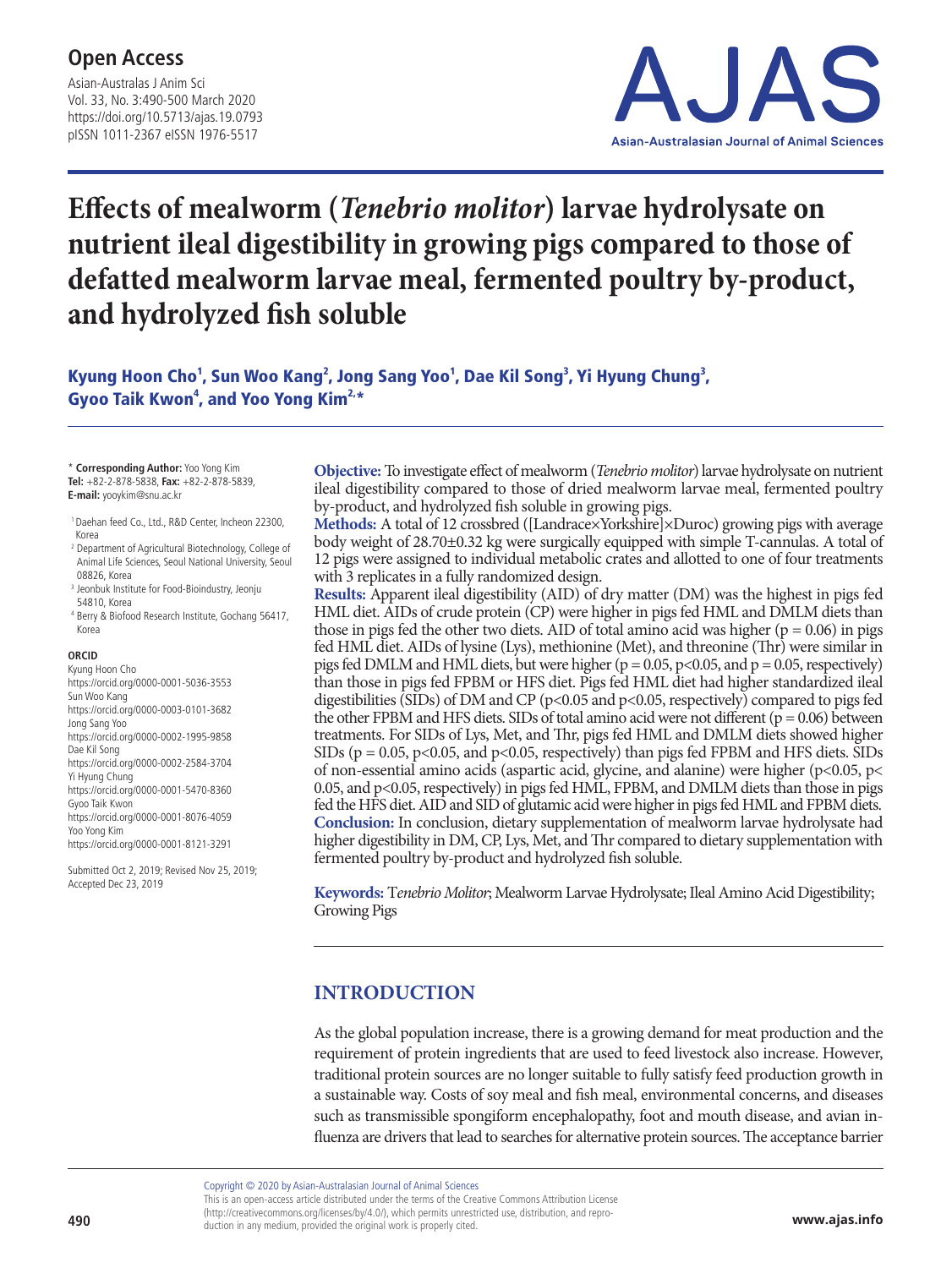Asian-Australas J Anim Sci Vol. 33, No. 3:490-500 March 2020 https://doi.org/10.5713/ajas.19.0793 pISSN 1011-2367 eISSN 1976-5517



# **Effects of mealworm (***Tenebrio molitor***) larvae hydrolysate on nutrient ileal digestibility in growing pigs compared to those of defatted mealworm larvae meal, fermented poultry by-product, and hydrolyzed fish soluble**

Kyung Hoon Cho<sup>1</sup>, Sun Woo Kang<sup>2</sup>, Jong Sang Yoo<sup>1</sup>, Dae Kil Song<sup>3</sup>, Yi Hyung Chung<sup>3</sup>, Gyoo Taik Kwon<sup>4</sup>, and Yoo Yong Kim<sup>2,\*</sup>

\* **Corresponding Author:** Yoo Yong Kim **Tel:** +82-2-878-5838, **Fax:** +82-2-878-5839, **E-mail:** yooykim@snu.ac.kr

- 1 Daehan feed Co., Ltd., R&D Center, Incheon 22300, Korea
- <sup>2</sup> Department of Agricultural Biotechnology, College of Animal Life Sciences, Seoul National University, Seoul 08826, Korea
- <sup>3</sup> Jeonbuk Institute for Food-Bioindustry, Jeonju 54810, Korea
- <sup>4</sup> Berry & Biofood Research Institute, Gochang 56417, Korea

#### **ORCID**

Kyung Hoon Cho https://orcid.org/0000-0001-5036-3553 Sun Woo Kang https://orcid.org/0000-0003-0101-3682 Jong Sang Yoo https://orcid.org/0000-0002-1995-9858 Dae Kil Song https://orcid.org/0000-0002-2584-3704 Yi Hyung Chung https://orcid.org/0000-0001-5470-8360 Gyoo Taik Kwon https://orcid.org/0000-0001-8076-4059 Yoo Yong Kim https://orcid.org/0000-0001-8121-3291

Submitted Oct 2, 2019; Revised Nov 25, 2019; Accepted Dec 23, 2019

**Objective:** To investigate effect of mealworm (*Tenebrio molitor*) larvae hydrolysate on nutrient ileal digestibility compared to those of dried mealworm larvae meal, fermented poultry by-product, and hydrolyzed fish soluble in growing pigs.

**Methods:** A total of 12 crossbred ([Landrace×Yorkshire]×Duroc) growing pigs with average body weight of 28.70±0.32 kg were surgically equipped with simple T-cannulas. A total of 12 pigs were assigned to individual metabolic crates and allotted to one of four treatments with 3 replicates in a fully randomized design.

**Results:** Apparent ileal digestibility (AID) of dry matter (DM) was the highest in pigs fed HML diet. AIDs of crude protein (CP) were higher in pigs fed HML and DMLM diets than those in pigs fed the other two diets. AID of total amino acid was higher ( $p = 0.06$ ) in pigs fed HML diet. AIDs of lysine (Lys), methionine (Met), and threonine (Thr) were similar in pigs fed DMLM and HML diets, but were higher ( $p = 0.05$ ,  $p<0.05$ , and  $p = 0.05$ , respectively) than those in pigs fed FPBM or HFS diet. Pigs fed HML diet had higher standardized ileal digestibilities (SIDs) of DM and CP (p<0.05 and p<0.05, respectively) compared to pigs fed the other FPBM and HFS diets. SIDs of total amino acid were not different  $(p = 0.06)$  between treatments. For SIDs of Lys, Met, and Thr, pigs fed HML and DMLM diets showed higher SIDs ( $p = 0.05$ ,  $p < 0.05$ , and  $p < 0.05$ , respectively) than pigs fed FPBM and HFS diets. SIDs of non-essential amino acids (aspartic acid, glycine, and alanine) were higher (p<0.05, p< 0.05, and p<0.05, respectively) in pigs fed HML, FPBM, and DMLM diets than those in pigs fed the HFS diet. AID and SID of glutamic acid were higher in pigs fed HML and FPBM diets. **Conclusion:** In conclusion, dietary supplementation of mealworm larvae hydrolysate had higher digestibility in DM, CP, Lys, Met, and Thr compared to dietary supplementation with fermented poultry by-product and hydrolyzed fish soluble.

**Keywords:** T*enebrio Molitor*; Mealworm Larvae Hydrolysate; Ileal Amino Acid Digestibility; Growing Pigs

### **INTRODUCTION**

As the global population increase, there is a growing demand for meat production and the requirement of protein ingredients that are used to feed livestock also increase. However, traditional protein sources are no longer suitable to fully satisfy feed production growth in a sustainable way. Costs of soy meal and fish meal, environmental concerns, and diseases such as transmissible spongiform encephalopathy, foot and mouth disease, and avian influenza are drivers that lead to searches for alternative protein sources. The acceptance barrier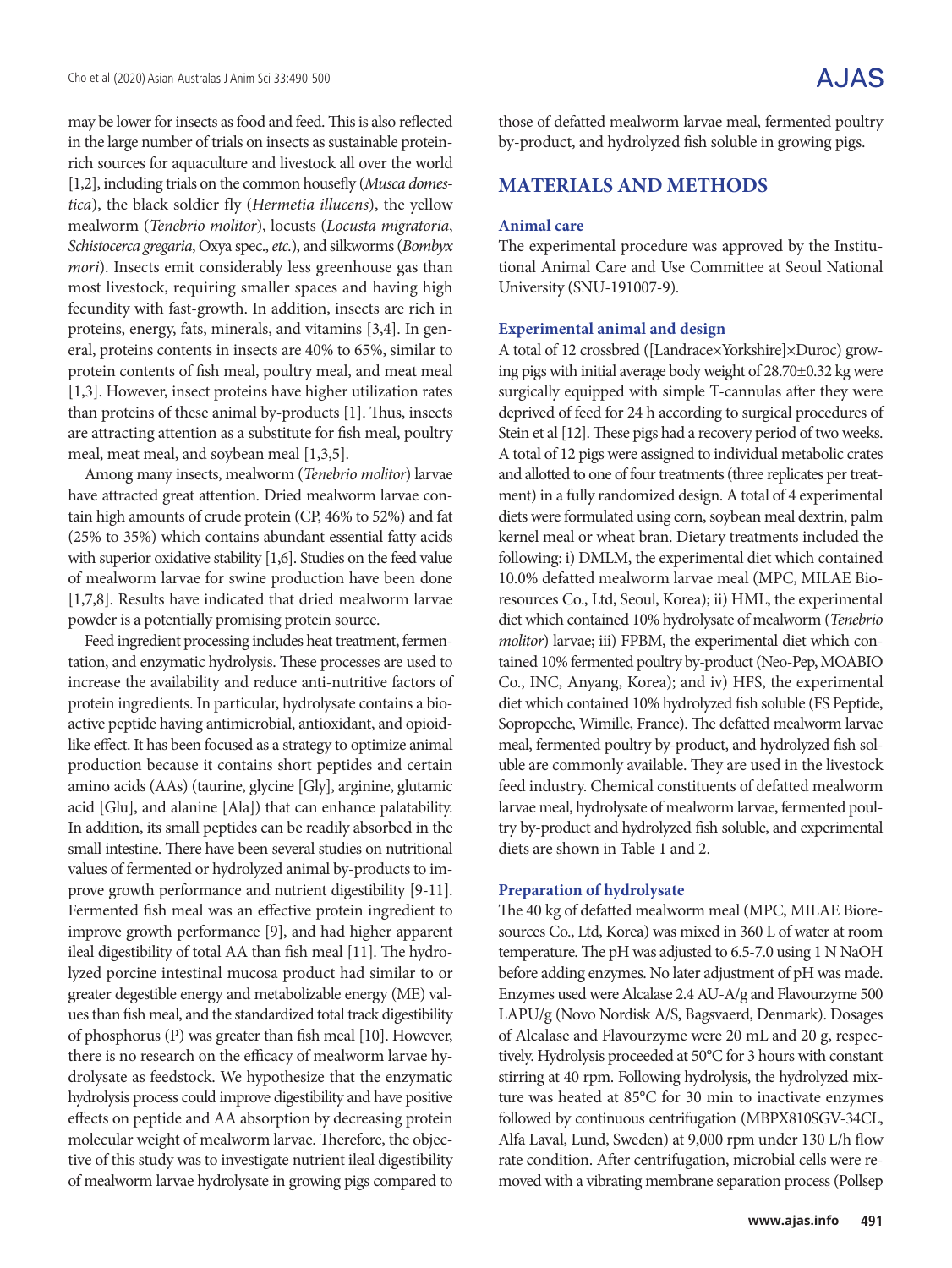may be lower for insects as food and feed. This is also reflected in the large number of trials on insects as sustainable proteinrich sources for aquaculture and livestock all over the world [1,2], including trials on the common housefly (*Musca domestica*), the black soldier fly (*Hermetia illucens*), the yellow mealworm (*Tenebrio molitor*), locusts (*Locusta migratoria*, *Schistocerca gregaria*, Oxya spec., *etc.*), and silkworms (*Bombyx mori*). Insects emit considerably less greenhouse gas than most livestock, requiring smaller spaces and having high fecundity with fast-growth. In addition, insects are rich in proteins, energy, fats, minerals, and vitamins [3,4]. In general, proteins contents in insects are 40% to 65%, similar to protein contents of fish meal, poultry meal, and meat meal [1,3]. However, insect proteins have higher utilization rates than proteins of these animal by-products [1]. Thus, insects are attracting attention as a substitute for fish meal, poultry meal, meat meal, and soybean meal [1,3,5].

Among many insects, mealworm (*Tenebrio molitor*) larvae have attracted great attention. Dried mealworm larvae contain high amounts of crude protein (CP, 46% to 52%) and fat (25% to 35%) which contains abundant essential fatty acids with superior oxidative stability [1,6]. Studies on the feed value of mealworm larvae for swine production have been done [1,7,8]. Results have indicated that dried mealworm larvae powder is a potentially promising protein source.

Feed ingredient processing includes heat treatment, fermentation, and enzymatic hydrolysis. These processes are used to increase the availability and reduce anti-nutritive factors of protein ingredients. In particular, hydrolysate contains a bioactive peptide having antimicrobial, antioxidant, and opioidlike effect. It has been focused as a strategy to optimize animal production because it contains short peptides and certain amino acids (AAs) (taurine, glycine [Gly], arginine, glutamic acid [Glu], and alanine [Ala]) that can enhance palatability. In addition, its small peptides can be readily absorbed in the small intestine. There have been several studies on nutritional values of fermented or hydrolyzed animal by-products to improve growth performance and nutrient digestibility [9-11]. Fermented fish meal was an effective protein ingredient to improve growth performance [9], and had higher apparent ileal digestibility of total AA than fish meal [11]. The hydrolyzed porcine intestinal mucosa product had similar to or greater degestible energy and metabolizable energy (ME) values than fish meal, and the standardized total track digestibility of phosphorus (P) was greater than fish meal [10]. However, there is no research on the efficacy of mealworm larvae hydrolysate as feedstock. We hypothesize that the enzymatic hydrolysis process could improve digestibility and have positive effects on peptide and AA absorption by decreasing protein molecular weight of mealworm larvae. Therefore, the objective of this study was to investigate nutrient ileal digestibility of mealworm larvae hydrolysate in growing pigs compared to

those of defatted mealworm larvae meal, fermented poultry by-product, and hydrolyzed fish soluble in growing pigs.

### **MATERIALS AND METHODS**

#### **Animal care**

The experimental procedure was approved by the Institutional Animal Care and Use Committee at Seoul National University (SNU-191007-9).

#### **Experimental animal and design**

A total of 12 crossbred ([Landrace×Yorkshire]×Duroc) growing pigs with initial average body weight of 28.70±0.32 kg were surgically equipped with simple T-cannulas after they were deprived of feed for 24 h according to surgical procedures of Stein et al [12]. These pigs had a recovery period of two weeks. A total of 12 pigs were assigned to individual metabolic crates and allotted to one of four treatments (three replicates per treatment) in a fully randomized design. A total of 4 experimental diets were formulated using corn, soybean meal dextrin, palm kernel meal or wheat bran. Dietary treatments included the following: i) DMLM, the experimental diet which contained 10.0% defatted mealworm larvae meal (MPC, MILAE Bioresources Co., Ltd, Seoul, Korea); ii) HML, the experimental diet which contained 10% hydrolysate of mealworm (*Tenebrio molitor*) larvae; iii) FPBM, the experimental diet which contained 10% fermented poultry by-product (Neo-Pep, MOABIO Co., INC, Anyang, Korea); and iv) HFS, the experimental diet which contained 10% hydrolyzed fish soluble (FS Peptide, Sopropeche, Wimille, France). The defatted mealworm larvae meal, fermented poultry by-product, and hydrolyzed fish soluble are commonly available. They are used in the livestock feed industry. Chemical constituents of defatted mealworm larvae meal, hydrolysate of mealworm larvae, fermented poultry by-product and hydrolyzed fish soluble, and experimental diets are shown in Table 1 and 2.

#### **Preparation of hydrolysate**

The 40 kg of defatted mealworm meal (MPC, MILAE Bioresources Co., Ltd, Korea) was mixed in 360 L of water at room temperature. The pH was adjusted to 6.5-7.0 using 1 N NaOH before adding enzymes. No later adjustment of pH was made. Enzymes used were Alcalase 2.4 AU-A/g and Flavourzyme 500 LAPU/g (Novo Nordisk A/S, Bagsvaerd, Denmark). Dosages of Alcalase and Flavourzyme were 20 mL and 20 g, respectively. Hydrolysis proceeded at 50°C for 3 hours with constant stirring at 40 rpm. Following hydrolysis, the hydrolyzed mixture was heated at 85°C for 30 min to inactivate enzymes followed by continuous centrifugation (MBPX810SGV-34CL, Alfa Laval, Lund, Sweden) at 9,000 rpm under 130 L/h flow rate condition. After centrifugation, microbial cells were removed with a vibrating membrane separation process (Pollsep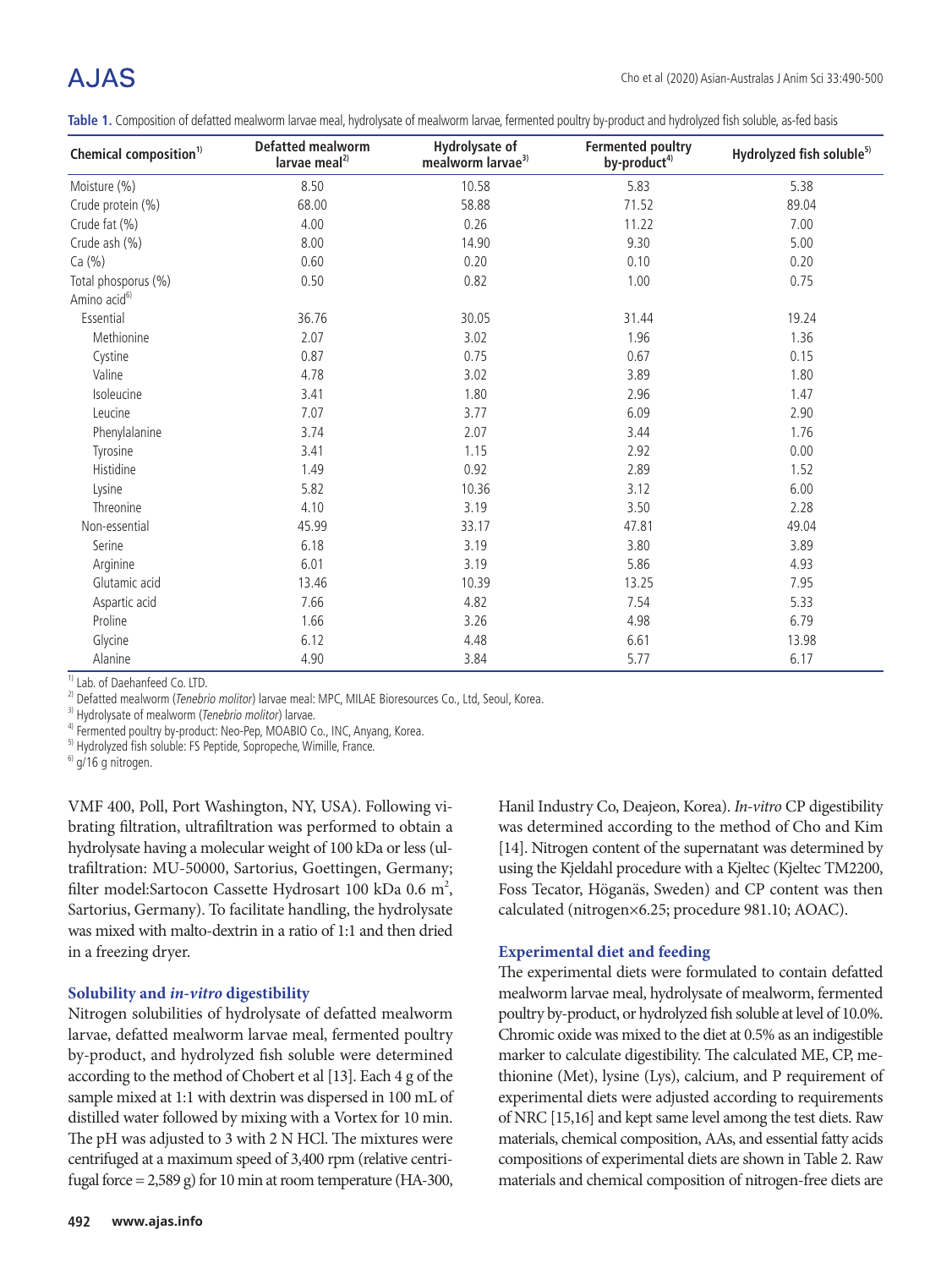Table 1. Composition of defatted mealworm larvae meal, hydrolysate of mealworm larvae, fermented poultry by-product and hydrolyzed fish soluble, as-fed basis

| Chemical composition <sup>1)</sup> | <b>Defatted mealworm</b><br>larvae meal <sup>2)</sup> | Hydrolysate of<br>mealworm larvae <sup>3)</sup> | <b>Fermented poultry</b><br>by-product <sup>4)</sup> | Hydrolyzed fish soluble <sup>5)</sup> |
|------------------------------------|-------------------------------------------------------|-------------------------------------------------|------------------------------------------------------|---------------------------------------|
| Moisture (%)                       | 8.50                                                  | 10.58                                           | 5.83                                                 | 5.38                                  |
| Crude protein (%)                  | 68.00                                                 | 58.88                                           | 71.52                                                | 89.04                                 |
| Crude fat (%)                      | 4.00                                                  | 0.26                                            | 11.22                                                | 7.00                                  |
| Crude ash (%)                      | 8.00                                                  | 14.90                                           | 9.30                                                 | 5.00                                  |
| Ca (%)                             | 0.60                                                  | 0.20                                            | 0.10                                                 | 0.20                                  |
| Total phosporus (%)                | 0.50                                                  | 0.82                                            | 1.00                                                 | 0.75                                  |
| Amino acid <sup>6)</sup>           |                                                       |                                                 |                                                      |                                       |
| Essential                          | 36.76                                                 | 30.05                                           | 31.44                                                | 19.24                                 |
| Methionine                         | 2.07                                                  | 3.02                                            | 1.96                                                 | 1.36                                  |
| Cystine                            | 0.87                                                  | 0.75                                            | 0.67                                                 | 0.15                                  |
| Valine                             | 4.78                                                  | 3.02                                            | 3.89                                                 | 1.80                                  |
| Isoleucine                         | 3.41                                                  | 1.80                                            | 2.96                                                 | 1.47                                  |
| Leucine                            | 7.07                                                  | 3.77                                            | 6.09                                                 | 2.90                                  |
| Phenylalanine                      | 3.74                                                  | 2.07                                            | 3.44                                                 | 1.76                                  |
| Tyrosine                           | 3.41                                                  | 1.15                                            | 2.92                                                 | 0.00                                  |
| Histidine                          | 1.49                                                  | 0.92                                            | 2.89                                                 | 1.52                                  |
| Lysine                             | 5.82                                                  | 10.36                                           | 3.12                                                 | 6.00                                  |
| Threonine                          | 4.10                                                  | 3.19                                            | 3.50                                                 | 2.28                                  |
| Non-essential                      | 45.99                                                 | 33.17                                           | 47.81                                                | 49.04                                 |
| Serine                             | 6.18                                                  | 3.19                                            | 3.80                                                 | 3.89                                  |
| Arginine                           | 6.01                                                  | 3.19                                            | 5.86                                                 | 4.93                                  |
| Glutamic acid                      | 13.46                                                 | 10.39                                           | 13.25                                                | 7.95                                  |
| Aspartic acid                      | 7.66                                                  | 4.82                                            | 7.54                                                 | 5.33                                  |
| Proline                            | 1.66                                                  | 3.26                                            | 4.98                                                 | 6.79                                  |
| Glycine                            | 6.12                                                  | 4.48                                            | 6.61                                                 | 13.98                                 |
| Alanine                            | 4.90                                                  | 3.84                                            | 5.77                                                 | 6.17                                  |

<sup>1)</sup> Lab. of Daehanfeed Co. LTD.

<sup>2)</sup> Defatted mealworm (*Tenebrio molitor*) larvae meal: MPC, MILAE Bioresources Co., Ltd, Seoul, Korea.  $\frac{3}{3}$  Hydrolysate of mealworm (*Tenebrio molitor*) larvae.

<sup>4)</sup> Fermented poultry by-product: Neo-Pep, MOABIO Co., INC, Anyang, Korea.

<sup>5)</sup> Hydrolyzed fish soluble: FS Peptide, Sopropeche, Wimille, France.

 $6)$  g/16 g nitrogen.

VMF 400, Poll, Port Washington, NY, USA). Following vibrating filtration, ultrafiltration was performed to obtain a hydrolysate having a molecular weight of 100 kDa or less (ultrafiltration: MU-50000, Sartorius, Goettingen, Germany; filter model: Sartocon Cassette Hydrosart 100 kDa 0.6 m<sup>2</sup>, Sartorius, Germany). To facilitate handling, the hydrolysate was mixed with malto-dextrin in a ratio of 1:1 and then dried in a freezing dryer.

#### **Solubility and** *in-vitro* **digestibility**

Nitrogen solubilities of hydrolysate of defatted mealworm larvae, defatted mealworm larvae meal, fermented poultry by-product, and hydrolyzed fish soluble were determined according to the method of Chobert et al [13]. Each 4 g of the sample mixed at 1:1 with dextrin was dispersed in 100 mL of distilled water followed by mixing with a Vortex for 10 min. The pH was adjusted to 3 with 2 N HCl. The mixtures were centrifuged at a maximum speed of 3,400 rpm (relative centrifugal force =  $2,589$  g) for 10 min at room temperature (HA-300,

Hanil Industry Co, Deajeon, Korea). *In-vitro* CP digestibility was determined according to the method of Cho and Kim [14]. Nitrogen content of the supernatant was determined by using the Kjeldahl procedure with a Kjeltec (Kjeltec TM2200, Foss Tecator, Höganäs, Sweden) and CP content was then calculated (nitrogen×6.25; procedure 981.10; AOAC).

#### **Experimental diet and feeding**

The experimental diets were formulated to contain defatted mealworm larvae meal, hydrolysate of mealworm, fermented poultry by-product, or hydrolyzed fish soluble at level of 10.0%. Chromic oxide was mixed to the diet at 0.5% as an indigestible marker to calculate digestibility. The calculated ME, CP, methionine (Met), lysine (Lys), calcium, and P requirement of experimental diets were adjusted according to requirements of NRC [15,16] and kept same level among the test diets. Raw materials, chemical composition, AAs, and essential fatty acids compositions of experimental diets are shown in Table 2. Raw materials and chemical composition of nitrogen-free diets are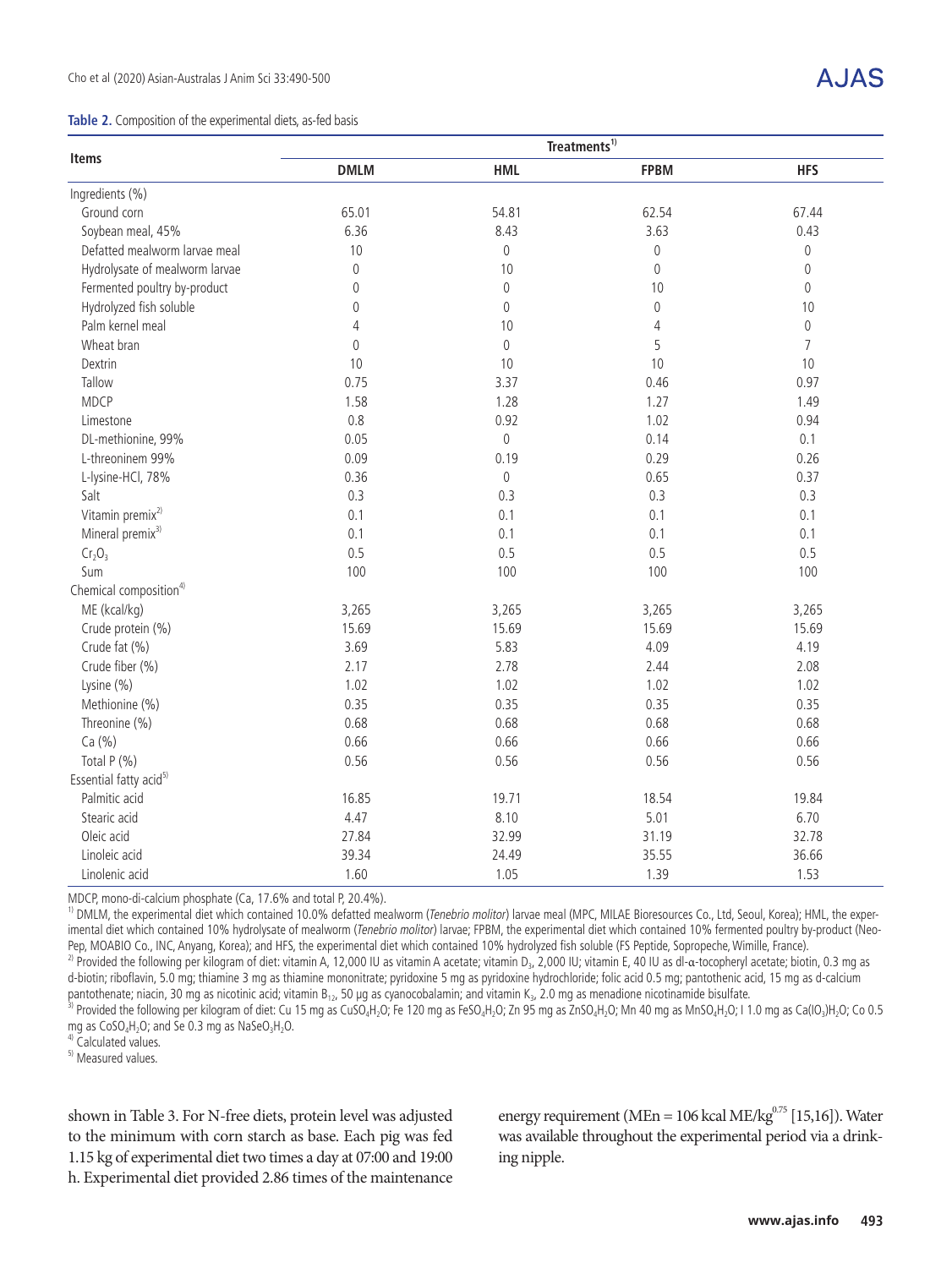#### **Table 2.** Composition of the experimental diets, as-fed basis

# A.IAS

|                                    |                     |             | Treatments <sup>1)</sup> |                     |
|------------------------------------|---------------------|-------------|--------------------------|---------------------|
| <b>Items</b>                       | <b>DMLM</b>         | <b>HML</b>  | <b>FPBM</b>              | <b>HFS</b>          |
| Ingredients (%)                    |                     |             |                          |                     |
| Ground corn                        | 65.01               | 54.81       | 62.54                    | 67.44               |
| Soybean meal, 45%                  | 6.36                | 8.43        | 3.63                     | 0.43                |
| Defatted mealworm larvae meal      | 10                  | 0           | 0                        | 0                   |
| Hydrolysate of mealworm larvae     | 0                   | 10          | $\boldsymbol{0}$         | $\mathbf 0$         |
| Fermented poultry by-product       | $\mathbf 0$         | $\mathbf 0$ | 10                       | $\mathsf{O}\xspace$ |
| Hydrolyzed fish soluble            | 0                   | $\mathbf 0$ | 0                        | 10                  |
| Palm kernel meal                   | 4                   | 10          | $\sqrt{4}$               | $\mathsf{0}$        |
| Wheat bran                         | $\mathsf{O}\xspace$ | $\mathbf 0$ | 5                        | $\overline{7}$      |
| Dextrin                            | 10                  | 10          | 10                       | 10                  |
| Tallow                             | 0.75                | 3.37        | 0.46                     | 0.97                |
| <b>MDCP</b>                        | 1.58                | 1.28        | 1.27                     | 1.49                |
| Limestone                          | 0.8                 | 0.92        | 1.02                     | 0.94                |
| DL-methionine, 99%                 | 0.05                | $\mathbf 0$ | 0.14                     | 0.1                 |
| L-threoninem 99%                   | 0.09                | 0.19        | 0.29                     | 0.26                |
| L-lysine-HCl, 78%                  | 0.36                | $\mathbf 0$ | 0.65                     | 0.37                |
| Salt                               | 0.3                 | 0.3         | 0.3                      | 0.3                 |
| Vitamin premix <sup>2)</sup>       | 0.1                 | 0.1         | 0.1                      | 0.1                 |
| Mineral premix <sup>3)</sup>       | 0.1                 | 0.1         | 0.1                      | 0.1                 |
| Cr <sub>2</sub> O <sub>3</sub>     | 0.5                 | 0.5         | 0.5                      | 0.5                 |
| Sum                                | 100                 | 100         | 100                      | 100                 |
| Chemical composition <sup>4)</sup> |                     |             |                          |                     |
| ME (kcal/kg)                       | 3,265               | 3,265       | 3,265                    | 3,265               |
| Crude protein (%)                  | 15.69               | 15.69       | 15.69                    | 15.69               |
| Crude fat (%)                      | 3.69                | 5.83        | 4.09                     | 4.19                |
| Crude fiber (%)                    | 2.17                | 2.78        | 2.44                     | 2.08                |
| Lysine (%)                         | 1.02                | 1.02        | 1.02                     | 1.02                |
| Methionine (%)                     | 0.35                | 0.35        | 0.35                     | 0.35                |
| Threonine (%)                      | 0.68                | 0.68        | 0.68                     | 0.68                |
| Ca (%)                             | 0.66                | 0.66        | 0.66                     | 0.66                |
| Total P (%)                        | 0.56                | 0.56        | 0.56                     | 0.56                |
| Essential fatty acid <sup>5)</sup> |                     |             |                          |                     |
| Palmitic acid                      | 16.85               | 19.71       | 18.54                    | 19.84               |
| Stearic acid                       | 4.47                | 8.10        | 5.01                     | 6.70                |
| Oleic acid                         | 27.84               | 32.99       | 31.19                    | 32.78               |
| Linoleic acid                      | 39.34               | 24.49       | 35.55                    | 36.66               |
| Linolenic acid                     | 1.60                | 1.05        | 1.39                     | 1.53                |

MDCP, mono-di-calcium phosphate (Ca, 17.6% and total P, 20.4%).

<sup>1)</sup> DMLM, the experimental diet which contained 10.0% defatted mealworm (Tenebrio molitor) larvae meal (MPC, MILAE Bioresources Co., Ltd, Seoul, Korea); HML, the experimental diet which contained 10% hydrolysate of mealworm (Tenebrio molitor) larvae; FPBM, the experimental diet which contained 10% fermented poultry by-product (Neo-Pep, MOABIO Co., INC, Anyang, Korea); and HFS, the experimental diet which contained 10% hydrolyzed fish soluble (FS Peptide, Sopropeche, Wimille, France).

<sup>2)</sup> Provided the following per kilogram of diet: vitamin A, 12,000 IU as vitamin A acetate; vitamin D<sub>3</sub>, 2,000 IU; vitamin E, 40 IU as dl-a-tocopheryl acetate; biotin, 0.3 mg as d-biotin; riboflavin, 5.0 mg; thiamine 3 mg as thiamine mononitrate; pyridoxine 5 mg as pyridoxine hydrochloride; folic acid 0.5 mg; pantothenic acid, 15 mg as d-calcium pantothenate; niacin, 30 mg as nicotinic acid; vitam

3) Provided the following per kilogram of diet: Cu 15 mg as CuSO<sub>4</sub>H<sub>2</sub>O; Fe 120 mg as FeSO<sub>4</sub>H<sub>2</sub>O; Zn 95 mg as ZnSO<sub>4</sub>H<sub>2</sub>O; Mn 40 mg as MnSO<sub>4</sub>H<sub>2</sub>O; I 1.0 mg as Ca(IO<sub>3</sub>)H<sub>2</sub>O; Co 0.5 mg as CoSO<sub>4</sub>H<sub>2</sub>O; and Se 0.3 mg as NaSeO<sub>3</sub>H<sub>2</sub>O.<br><sup>4)</sup> Calculated values.

5) Measured values.

shown in Table 3. For N-free diets, protein level was adjusted to the minimum with corn starch as base. Each pig was fed 1.15 kg of experimental diet two times a day at 07:00 and 19:00 h. Experimental diet provided 2.86 times of the maintenance energy requirement (MEn = 106 kcal ME/kg $^{0.75}$  [15,16]). Water was available throughout the experimental period via a drinking nipple.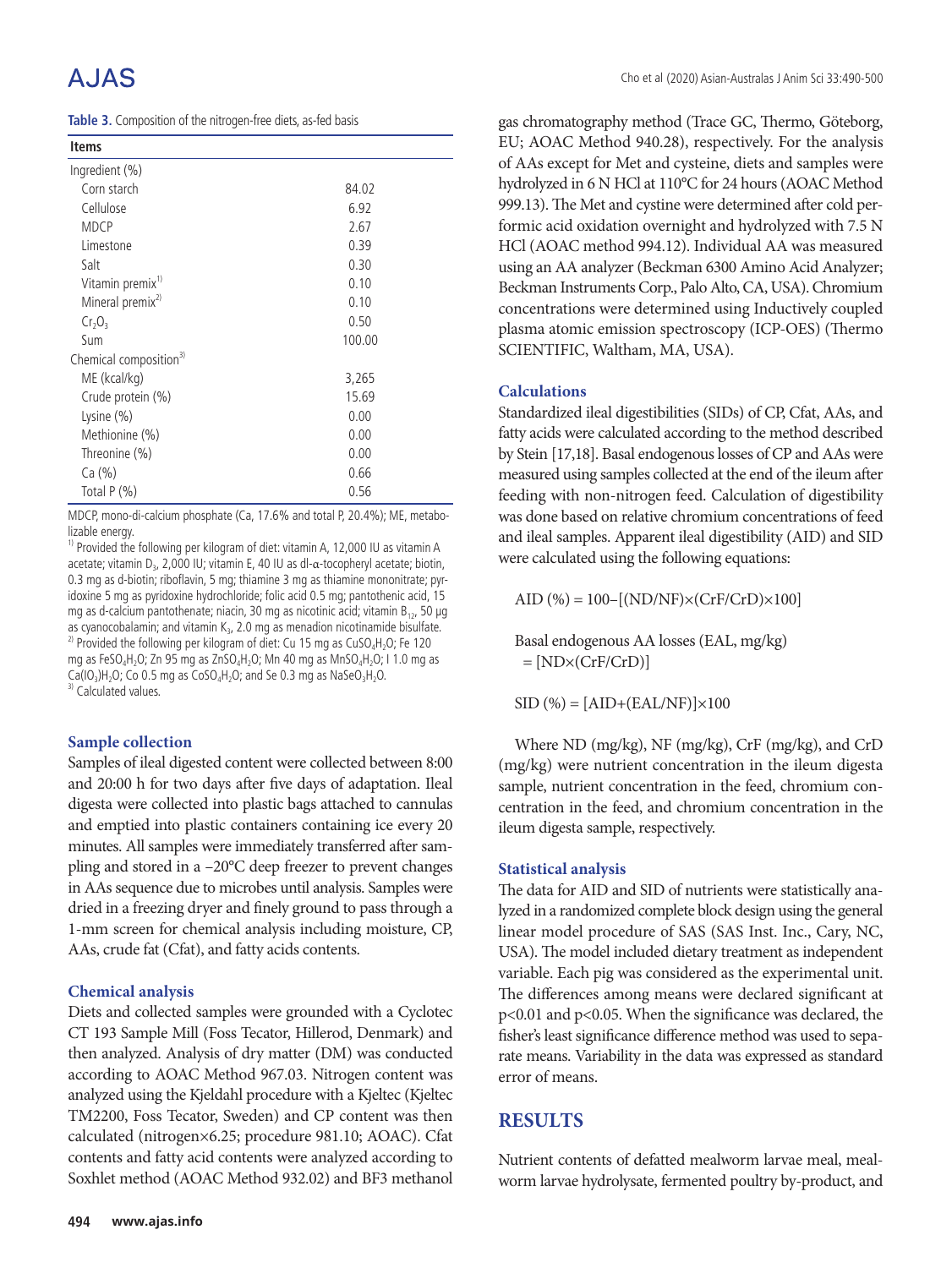| Table 3. Composition of the nitrogen-free diets, as-fed basis |  |
|---------------------------------------------------------------|--|
|---------------------------------------------------------------|--|

| <b>Items</b>                       |        |
|------------------------------------|--------|
| Ingredient (%)                     |        |
| Corn starch                        | 84.02  |
| Cellulose                          | 6.92   |
| <b>MDCP</b>                        | 2.67   |
| Limestone                          | 0.39   |
| Salt                               | 0.30   |
| Vitamin premix <sup>1)</sup>       | 0.10   |
| Mineral premix <sup>2)</sup>       | 0.10   |
| $Cr_2O_3$                          | 0.50   |
| Sum                                | 100.00 |
| Chemical composition <sup>3)</sup> |        |
| ME (kcal/kg)                       | 3,265  |
| Crude protein (%)                  | 15.69  |
| Lysine $(\%)$                      | 0.00   |
| Methionine (%)                     | 0.00   |
| Threonine (%)                      | 0.00   |
| Ca (%)                             | 0.66   |
| Total $P(\%)$                      | 0.56   |

MDCP, mono-di-calcium phosphate (Ca, 17.6% and total P, 20.4%); ME, metabolizable energy.

<sup>1)</sup> Provided the following per kilogram of diet: vitamin A, 12,000 IU as vitamin A acetate; vitamin D<sub>3</sub>, 2,000 IU; vitamin E, 40 IU as dl-α-tocopheryl acetate; biotin, 0.3 mg as d-biotin; riboflavin, 5 mg; thiamine 3 mg as thiamine mononitrate; pyridoxine 5 mg as pyridoxine hydrochloride; folic acid 0.5 mg; pantothenic acid, 15 mg as d-calcium pantothenate; niacin, 30 mg as nicotinic acid; vitamin  $B_{12}$ , 50 µg as cyanocobalamin; and vitamin  $K_{32}$ , 2.0 mg as menadion nicotinamide bisulfate. <sup>2)</sup> Provided the following per kilogram of diet: Cu 15 mg as CuSO<sub>4</sub>H<sub>2</sub>O; Fe 120 mg as FeSO<sub>4</sub>H<sub>2</sub>O; Zn 95 mg as ZnSO<sub>4</sub>H<sub>2</sub>O; Mn 40 mg as MnSO<sub>4</sub>H<sub>2</sub>O; I 1.0 mg as Ca(IO<sub>3</sub>)H<sub>2</sub>O; Co 0.5 mg as CoSO<sub>4</sub>H<sub>2</sub>O; and Se 0.3 mg as NaSeO<sub>3</sub>H<sub>2</sub>O. <sup>3)</sup> Calculated values.

### **Sample collection**

Samples of ileal digested content were collected between 8:00 and 20:00 h for two days after five days of adaptation. Ileal digesta were collected into plastic bags attached to cannulas and emptied into plastic containers containing ice every 20 minutes. All samples were immediately transferred after sampling and stored in a –20°C deep freezer to prevent changes in AAs sequence due to microbes until analysis. Samples were dried in a freezing dryer and finely ground to pass through a 1-mm screen for chemical analysis including moisture, CP, AAs, crude fat (Cfat), and fatty acids contents.

### **Chemical analysis**

Diets and collected samples were grounded with a Cyclotec CT 193 Sample Mill (Foss Tecator, Hillerod, Denmark) and then analyzed. Analysis of dry matter (DM) was conducted according to AOAC Method 967.03. Nitrogen content was analyzed using the Kjeldahl procedure with a Kjeltec (Kjeltec TM2200, Foss Tecator, Sweden) and CP content was then calculated (nitrogen×6.25; procedure 981.10; AOAC). Cfat contents and fatty acid contents were analyzed according to Soxhlet method (AOAC Method 932.02) and BF3 methanol

gas chromatography method (Trace GC, Thermo, Göteborg, EU; AOAC Method 940.28), respectively. For the analysis of AAs except for Met and cysteine, diets and samples were hydrolyzed in 6 N HCl at 110°C for 24 hours (AOAC Method 999.13). The Met and cystine were determined after cold performic acid oxidation overnight and hydrolyzed with 7.5 N HCl (AOAC method 994.12). Individual AA was measured using an AA analyzer (Beckman 6300 Amino Acid Analyzer; Beckman Instruments Corp., Palo Alto, CA, USA). Chromium concentrations were determined using Inductively coupled plasma atomic emission spectroscopy (ICP-OES) (Thermo SCIENTIFIC, Waltham, MA, USA).

#### **Calculations**

Standardized ileal digestibilities (SIDs) of CP, Cfat, AAs, and fatty acids were calculated according to the method described by Stein [17,18]. Basal endogenous losses of CP and AAs were measured using samples collected at the end of the ileum after feeding with non-nitrogen feed. Calculation of digestibility was done based on relative chromium concentrations of feed and ileal samples. Apparent ileal digestibility (AID) and SID were calculated using the following equations:

AID (%) = 100–[(ND/NF)×(CrF/CrD)×100]

Basal endogenous AA losses (EAL, mg/kg)  $= [ND \times (CrF/CrD)]$ 

 $SID (%) = [AID+(EAL/NF)] \times 100$ 

Where ND (mg/kg), NF (mg/kg), CrF (mg/kg), and CrD (mg/kg) were nutrient concentration in the ileum digesta sample, nutrient concentration in the feed, chromium concentration in the feed, and chromium concentration in the ileum digesta sample, respectively.

#### **Statistical analysis**

The data for AID and SID of nutrients were statistically analyzed in a randomized complete block design using the general linear model procedure of SAS (SAS Inst. Inc., Cary, NC, USA). The model included dietary treatment as independent variable. Each pig was considered as the experimental unit. The differences among means were declared significant at p<0.01 and p<0.05. When the significance was declared, the fisher's least significance difference method was used to separate means. Variability in the data was expressed as standard error of means.

## **RESULTS**

Nutrient contents of defatted mealworm larvae meal, mealworm larvae hydrolysate, fermented poultry by-product, and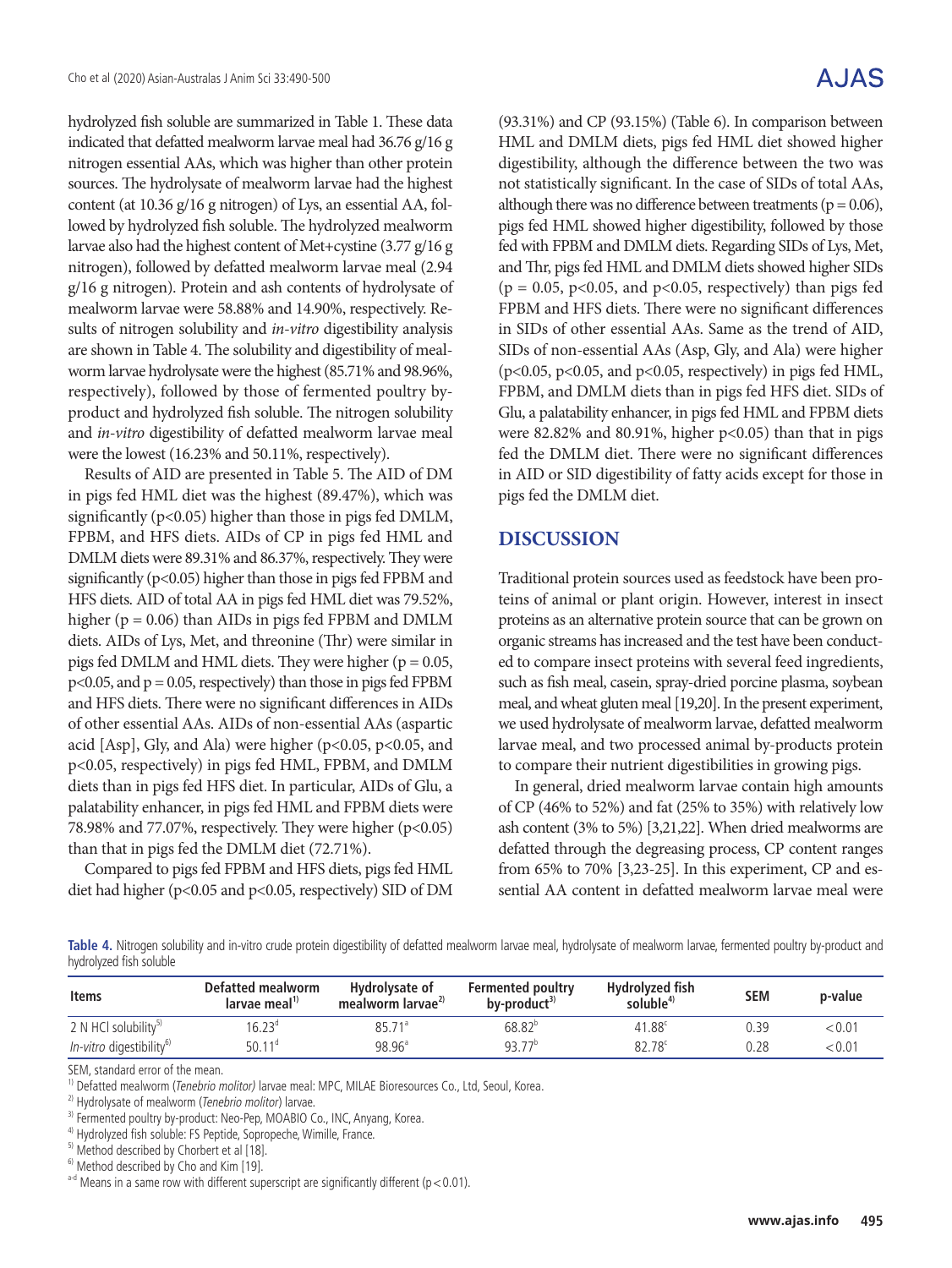hydrolyzed fish soluble are summarized in Table 1. These data indicated that defatted mealworm larvae meal had 36.76 g/16 g nitrogen essential AAs, which was higher than other protein sources. The hydrolysate of mealworm larvae had the highest content (at 10.36 g/16 g nitrogen) of Lys, an essential AA, followed by hydrolyzed fish soluble. The hydrolyzed mealworm larvae also had the highest content of Met+cystine (3.77 g/16 g nitrogen), followed by defatted mealworm larvae meal (2.94 g/16 g nitrogen). Protein and ash contents of hydrolysate of mealworm larvae were 58.88% and 14.90%, respectively. Results of nitrogen solubility and *in-vitro* digestibility analysis are shown in Table 4. The solubility and digestibility of mealworm larvae hydrolysate were the highest (85.71% and 98.96%, respectively), followed by those of fermented poultry byproduct and hydrolyzed fish soluble. The nitrogen solubility and *in-vitro* digestibility of defatted mealworm larvae meal were the lowest (16.23% and 50.11%, respectively).

Results of AID are presented in Table 5. The AID of DM in pigs fed HML diet was the highest (89.47%), which was significantly ( $p<0.05$ ) higher than those in pigs fed DMLM, FPBM, and HFS diets. AIDs of CP in pigs fed HML and DMLM diets were 89.31% and 86.37%, respectively. They were significantly  $(p<0.05)$  higher than those in pigs fed FPBM and HFS diets. AID of total AA in pigs fed HML diet was 79.52%, higher ( $p = 0.06$ ) than AIDs in pigs fed FPBM and DMLM diets. AIDs of Lys, Met, and threonine (Thr) were similar in pigs fed DMLM and HML diets. They were higher ( $p = 0.05$ ,  $p<0.05$ , and  $p = 0.05$ , respectively) than those in pigs fed FPBM and HFS diets. There were no significant differences in AIDs of other essential AAs. AIDs of non-essential AAs (aspartic acid [Asp], Gly, and Ala) were higher (p<0.05, p<0.05, and p<0.05, respectively) in pigs fed HML, FPBM, and DMLM diets than in pigs fed HFS diet. In particular, AIDs of Glu, a palatability enhancer, in pigs fed HML and FPBM diets were 78.98% and 77.07%, respectively. They were higher (p<0.05) than that in pigs fed the DMLM diet (72.71%).

Compared to pigs fed FPBM and HFS diets, pigs fed HML diet had higher (p<0.05 and p<0.05, respectively) SID of DM

# A.JAS

(93.31%) and CP (93.15%) (Table 6). In comparison between HML and DMLM diets, pigs fed HML diet showed higher digestibility, although the difference between the two was not statistically significant. In the case of SIDs of total AAs, although there was no difference between treatments ( $p = 0.06$ ), pigs fed HML showed higher digestibility, followed by those fed with FPBM and DMLM diets. Regarding SIDs of Lys, Met, and Thr, pigs fed HML and DMLM diets showed higher SIDs  $(p = 0.05, p<0.05, and p<0.05, respectively)$  than pigs fed FPBM and HFS diets. There were no significant differences in SIDs of other essential AAs. Same as the trend of AID, SIDs of non-essential AAs (Asp, Gly, and Ala) were higher (p<0.05, p<0.05, and p<0.05, respectively) in pigs fed HML, FPBM, and DMLM diets than in pigs fed HFS diet. SIDs of Glu, a palatability enhancer, in pigs fed HML and FPBM diets were 82.82% and 80.91%, higher  $p<0.05$ ) than that in pigs fed the DMLM diet. There were no significant differences in AID or SID digestibility of fatty acids except for those in pigs fed the DMLM diet.

### **DISCUSSION**

Traditional protein sources used as feedstock have been proteins of animal or plant origin. However, interest in insect proteins as an alternative protein source that can be grown on organic streams has increased and the test have been conducted to compare insect proteins with several feed ingredients, such as fish meal, casein, spray-dried porcine plasma, soybean meal, and wheat gluten meal [19,20]. In the present experiment, we used hydrolysate of mealworm larvae, defatted mealworm larvae meal, and two processed animal by-products protein to compare their nutrient digestibilities in growing pigs.

In general, dried mealworm larvae contain high amounts of CP (46% to 52%) and fat (25% to 35%) with relatively low ash content (3% to 5%) [3,21,22]. When dried mealworms are defatted through the degreasing process, CP content ranges from 65% to 70% [3,23-25]. In this experiment, CP and essential AA content in defatted mealworm larvae meal were

**Table 4.** Nitrogen solubility and in-vitro crude protein digestibility of defatted mealworm larvae meal, hydrolysate of mealworm larvae, fermented poultry by-product and hydrolyzed fish soluble

| <b>Items</b>                         | Defatted mealworm<br>larvae meal <sup>1)</sup> | Hydrolysate of<br>mealworm larvae <sup>27</sup> | <b>Fermented poultry</b><br>by-product <sup>37</sup> | Hydrolyzed fish<br>soluble <sup>4)</sup> | SEM  | p-value |
|--------------------------------------|------------------------------------------------|-------------------------------------------------|------------------------------------------------------|------------------------------------------|------|---------|
| 2 N HCl solubility <sup>5)</sup>     | $16.23^\circ$                                  | $85.71^{\circ}$                                 | $68.82^{b}$                                          | 41.88c                                   | ).39 | < 0.01  |
| In-vitro digestibility <sup>6)</sup> | $50.11^{\circ}$                                | $98.96^{\circ}$                                 | $93.77^{\circ}$                                      | $82.78^{\circ}$                          | ).28 | < 0.01  |

SEM, standard error of the mean.

<sup>1)</sup> Defatted mealworm (*Tenebrio molitor*) larvae meal: MPC, MILAE Bioresources Co., Ltd, Seoul, Korea. <sup>2)</sup> Hydrolysate of mealworm (*Tenebrio molitor*) larvae.

<sup>&</sup>lt;sup>3)</sup> Fermented poultry by-product: Neo-Pep, MOABIO Co., INC, Anyang, Korea.

<sup>&</sup>lt;sup>4)</sup> Hydrolyzed fish soluble: FS Peptide, Sopropeche, Wimille, France.

<sup>&</sup>lt;sup>5)</sup> Method described by Chorbert et al [18].

<sup>&</sup>lt;sup>6)</sup> Method described by Cho and Kim [19].

 $a$ -d Means in a same row with different superscript are significantly different (p < 0.01).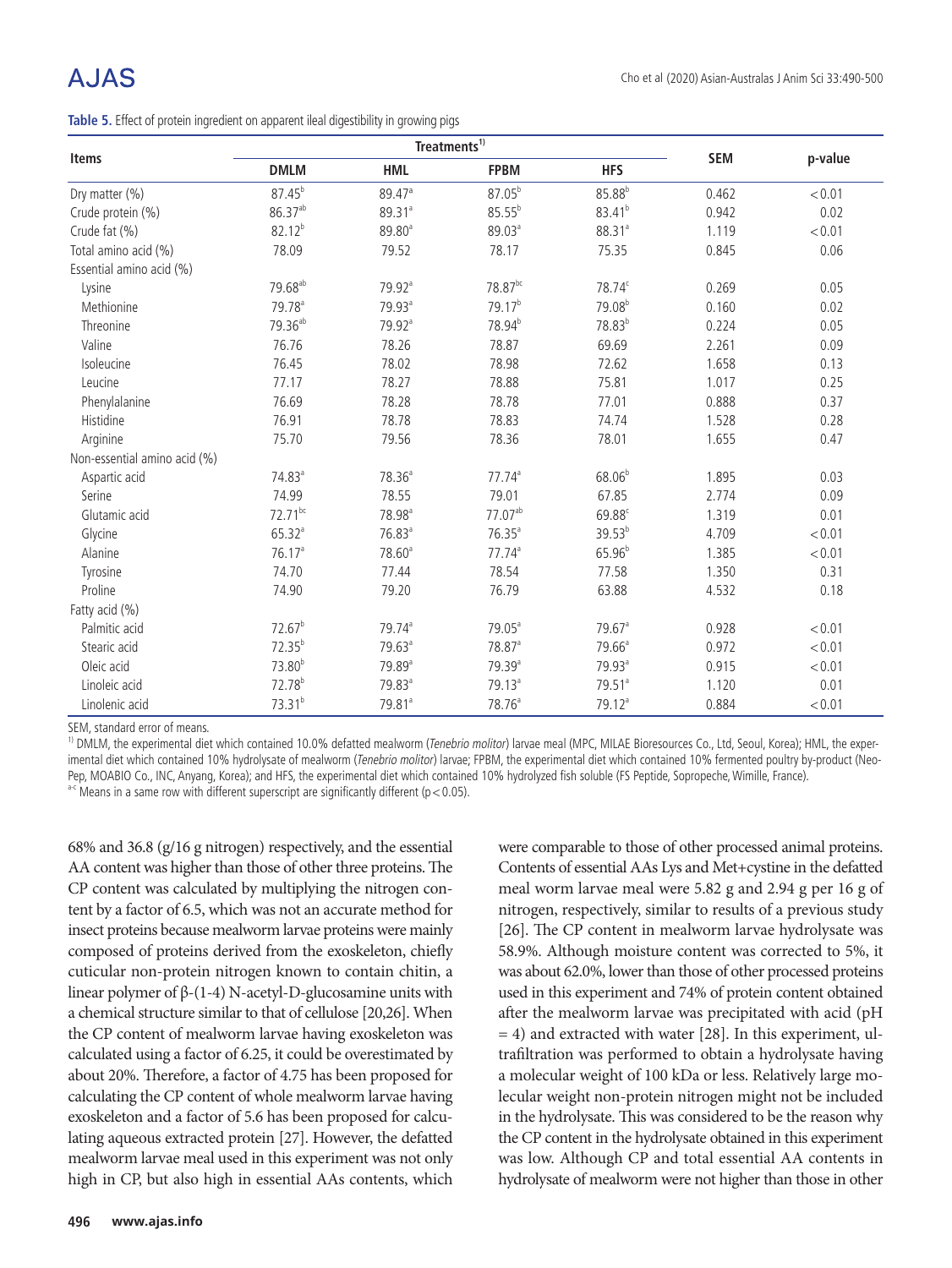**Table 5.** Effect of protein ingredient on apparent ileal digestibility in growing pigs

|                              |                     | Treatments <sup>1)</sup> |                     |                      |            |         |
|------------------------------|---------------------|--------------------------|---------------------|----------------------|------------|---------|
| <b>Items</b>                 | <b>DMLM</b>         | <b>HML</b>               | <b>FPBM</b>         | <b>HFS</b>           | <b>SEM</b> | p-value |
| Dry matter (%)               | $87.45^{b}$         | 89.47 <sup>a</sup>       | $87.05^{b}$         | $85.88^{b}$          | 0.462      | < 0.01  |
| Crude protein (%)            | $86.37^{ab}$        | 89.31 <sup>a</sup>       | $85.55^{b}$         | $83.41^{b}$          | 0.942      | 0.02    |
| Crude fat (%)                | $82.12^{b}$         | 89.80 <sup>a</sup>       | 89.03 <sup>a</sup>  | 88.31 <sup>a</sup>   | 1.119      | < 0.01  |
| Total amino acid (%)         | 78.09               | 79.52                    | 78.17               | 75.35                | 0.845      | 0.06    |
| Essential amino acid (%)     |                     |                          |                     |                      |            |         |
| Lysine                       | 79.68 <sup>ab</sup> | 79.92 <sup>a</sup>       | $78.87^{bc}$        | 78.74 <sup>c</sup>   | 0.269      | 0.05    |
| Methionine                   | 79.78 <sup>a</sup>  | 79.93 <sup>a</sup>       | 79.17 <sup>b</sup>  | 79.08 <sup>b</sup>   | 0.160      | 0.02    |
| Threonine                    | 79.36 <sup>ab</sup> | 79.92 <sup>a</sup>       | 78.94 <sup>b</sup>  | 78.83 <sup>b</sup>   | 0.224      | 0.05    |
| Valine                       | 76.76               | 78.26                    | 78.87               | 69.69                | 2.261      | 0.09    |
| Isoleucine                   | 76.45               | 78.02                    | 78.98               | 72.62                | 1.658      | 0.13    |
| Leucine                      | 77.17               | 78.27                    | 78.88               | 75.81                | 1.017      | 0.25    |
| Phenylalanine                | 76.69               | 78.28                    | 78.78               | 77.01                | 0.888      | 0.37    |
| Histidine                    | 76.91               | 78.78                    | 78.83               | 74.74                | 1.528      | 0.28    |
| Arginine                     | 75.70               | 79.56                    | 78.36               | 78.01                | 1.655      | 0.47    |
| Non-essential amino acid (%) |                     |                          |                     |                      |            |         |
| Aspartic acid                | 74.83 <sup>a</sup>  | 78.36 <sup>a</sup>       | $77.74^a$           | $68.06^{b}$          | 1.895      | 0.03    |
| Serine                       | 74.99               | 78.55                    | 79.01               | 67.85                | 2.774      | 0.09    |
| Glutamic acid                | $72.71^{bc}$        | 78.98 <sup>a</sup>       | 77.07 <sup>ab</sup> | 69.88 <sup>c</sup>   | 1.319      | 0.01    |
| Glycine                      | $65.32^{a}$         | $76.83$ <sup>a</sup>     | $76.35^a$           | $39.53^{b}$          | 4.709      | < 0.01  |
| Alanine                      | 76.17 <sup>a</sup>  | 78.60 <sup>a</sup>       | $77.74^a$           | $65.96^{b}$          | 1.385      | < 0.01  |
| Tyrosine                     | 74.70               | 77.44                    | 78.54               | 77.58                | 1.350      | 0.31    |
| Proline                      | 74.90               | 79.20                    | 76.79               | 63.88                | 4.532      | 0.18    |
| Fatty acid (%)               |                     |                          |                     |                      |            |         |
| Palmitic acid                | 72.67 <sup>b</sup>  | 79.74 <sup>a</sup>       | $79.05^a$           | $79.67$ <sup>a</sup> | 0.928      | < 0.01  |
| Stearic acid                 | $72.35^{b}$         | 79.63 <sup>a</sup>       | 78.87 <sup>a</sup>  | $79.66^a$            | 0.972      | < 0.01  |
| Oleic acid                   | 73.80 <sup>b</sup>  | 79.89 <sup>a</sup>       | 79.39 <sup>a</sup>  | 79.93 <sup>a</sup>   | 0.915      | < 0.01  |
| Linoleic acid                | $72.78^{b}$         | 79.83 <sup>a</sup>       | $79.13^a$           | 79.51 <sup>a</sup>   | 1.120      | 0.01    |
| Linolenic acid               | $73.31^{b}$         | 79.81 <sup>a</sup>       | 78.76 <sup>a</sup>  | 79.12 <sup>a</sup>   | 0.884      | < 0.01  |

SEM, standard error of means.

<sup>1)</sup> DMLM, the experimental diet which contained 10.0% defatted mealworm (Tenebrio molitor) larvae meal (MPC, MILAE Bioresources Co., Ltd, Seoul, Korea); HML, the experimental diet which contained 10% hydrolysate of mealworm (Tenebrio molitor) larvae; FPBM, the experimental diet which contained 10% fermented poultry by-product (Neo-Pep, MOABIO Co., INC, Anyang, Korea); and HFS, the experimental diet which contained 10% hydrolyzed fish soluble (FS Peptide, Sopropeche, Wimille, France).  $a$ <sup>-c</sup> Means in a same row with different superscript are significantly different ( $p$  < 0.05).

68% and 36.8 (g/16 g nitrogen) respectively, and the essential AA content was higher than those of other three proteins. The CP content was calculated by multiplying the nitrogen content by a factor of 6.5, which was not an accurate method for insect proteins because mealworm larvae proteins were mainly composed of proteins derived from the exoskeleton, chiefly cuticular non-protein nitrogen known to contain chitin, a linear polymer of  $β-(1-4)$  N-acetyl-D-glucosamine units with a chemical structure similar to that of cellulose [20,26]. When the CP content of mealworm larvae having exoskeleton was calculated using a factor of 6.25, it could be overestimated by about 20%. Therefore, a factor of 4.75 has been proposed for calculating the CP content of whole mealworm larvae having exoskeleton and a factor of 5.6 has been proposed for calculating aqueous extracted protein [27]. However, the defatted mealworm larvae meal used in this experiment was not only high in CP, but also high in essential AAs contents, which

were comparable to those of other processed animal proteins. Contents of essential AAs Lys and Met+cystine in the defatted meal worm larvae meal were 5.82 g and 2.94 g per 16 g of nitrogen, respectively, similar to results of a previous study [26]. The CP content in mealworm larvae hydrolysate was 58.9%. Although moisture content was corrected to 5%, it was about 62.0%, lower than those of other processed proteins used in this experiment and 74% of protein content obtained after the mealworm larvae was precipitated with acid (pH  $= 4$ ) and extracted with water [28]. In this experiment, ultrafiltration was performed to obtain a hydrolysate having a molecular weight of 100 kDa or less. Relatively large molecular weight non-protein nitrogen might not be included in the hydrolysate. This was considered to be the reason why the CP content in the hydrolysate obtained in this experiment was low. Although CP and total essential AA contents in hydrolysate of mealworm were not higher than those in other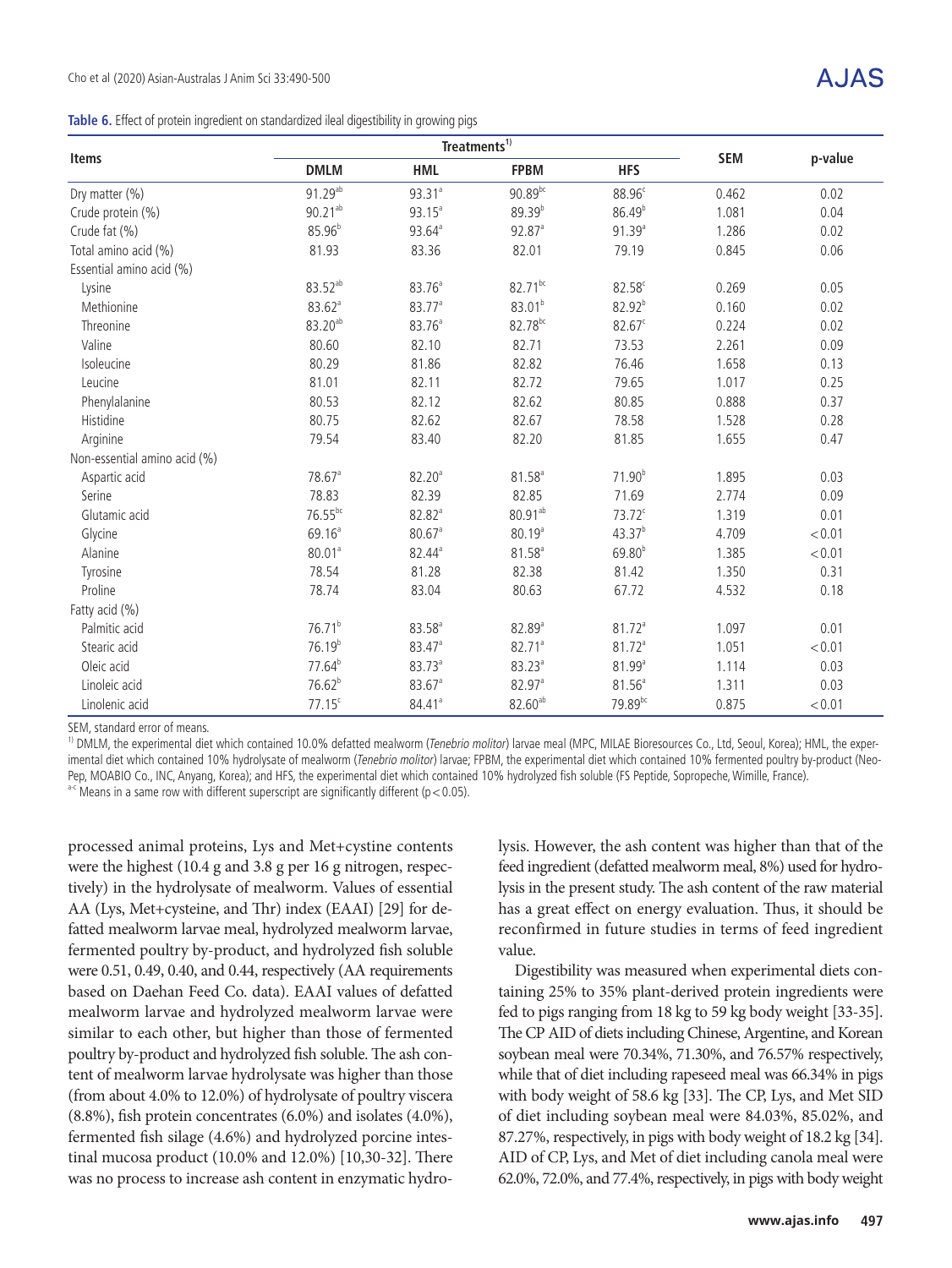**Items**

|  |  | Table 6. Effect of protein ingredient on standardized ileal digestibility in growing pigs |  |  |  |
|--|--|-------------------------------------------------------------------------------------------|--|--|--|
|--|--|-------------------------------------------------------------------------------------------|--|--|--|

|                          |                      | Treatments <sup>1)</sup> |                      |                    |            |         |
|--------------------------|----------------------|--------------------------|----------------------|--------------------|------------|---------|
| <b>Items</b>             | <b>DMLM</b>          | <b>HML</b>               | <b>FPBM</b>          | <b>HFS</b>         | <b>SEM</b> | p-value |
| Dry matter (%)           | $91.29^{ab}$         | 93.31 <sup>a</sup>       | 90.89bc              | 88.96 <sup>c</sup> | 0.462      | 0.02    |
| Crude protein (%)        | $90.21^{ab}$         | $93.15^a$                | $89.39^{b}$          | 86.49 <sup>b</sup> | 1.081      | 0.04    |
| Crude fat (%)            | 85.96 <sup>b</sup>   | $93.64^{\circ}$          | $92.87$ <sup>a</sup> | $91.39^{a}$        | 1.286      | 0.02    |
| Total amino acid (%)     | 81.93                | 83.36                    | 82.01                | 79.19              | 0.845      | 0.06    |
| Essential amino acid (%) |                      |                          |                      |                    |            |         |
| Lysine                   | $83.52^{ab}$         | 83.76 <sup>a</sup>       | $82.71^{bc}$         | $82.58^c$          | 0.269      | 0.05    |
| Methionine               | $83.62$ <sup>a</sup> | 83.77 <sup>a</sup>       | 83.01 <sup>b</sup>   | $82.92^{b}$        | 0.160      | 0.02    |
| Threonine                | $83.20^{ab}$         | 83.76 <sup>a</sup>       | 82.78 <sup>bc</sup>  | $82.67^{\circ}$    | 0.224      | 0.02    |
| Valine                   | 80.60                | 82.10                    | 82.71                | 73.53              | 2.261      | 0.09    |
| Isoleucine               | 80.29                | 81.86                    | 82.82                | 76.46              | 1.658      | 0.13    |
| Leucine                  | 81.01                | 82.11                    | 82.72                | 79.65              | 1.017      | 0.25    |
| Phenylalanine            | 80.53                | 82.12                    | 82.62                | 80.85              | 0.888      | 0.37    |
|                          |                      |                          |                      |                    |            |         |

| Threonine                    | $83.20^{ab}$         | 83.76 <sup>a</sup>   | 82.78 <sup>bc</sup> | $82.67^c$            | 0.224 | 0.02   |  |
|------------------------------|----------------------|----------------------|---------------------|----------------------|-------|--------|--|
| Valine                       | 80.60                | 82.10                | 82.71               | 73.53                | 2.261 | 0.09   |  |
| Isoleucine                   | 80.29                | 81.86                | 82.82               | 76.46                | 1.658 | 0.13   |  |
| Leucine                      | 81.01                | 82.11                | 82.72               | 79.65                | 1.017 | 0.25   |  |
| Phenylalanine                | 80.53                | 82.12                | 82.62               | 80.85                | 0.888 | 0.37   |  |
| Histidine                    | 80.75                | 82.62                | 82.67               | 78.58                | 1.528 | 0.28   |  |
| Arginine                     | 79.54                | 83.40                | 82.20               | 81.85                | 1.655 | 0.47   |  |
| Non-essential amino acid (%) |                      |                      |                     |                      |       |        |  |
| Aspartic acid                | $78.67$ <sup>a</sup> | 82.20 <sup>a</sup>   | 81.58 <sup>a</sup>  | 71.90 <sup>b</sup>   | 1.895 | 0.03   |  |
| Serine                       | 78.83                | 82.39                | 82.85               | 71.69                | 2.774 | 0.09   |  |
| Glutamic acid                | $76.55^{bc}$         | $82.82$ <sup>a</sup> | $80.91^{ab}$        | $73.72^c$            | 1.319 | 0.01   |  |
| Glycine                      | 69.16 <sup>a</sup>   | $80.67$ <sup>a</sup> | $80.19^{a}$         | $43.37^{b}$          | 4.709 | < 0.01 |  |
| Alanine                      | 80.01 <sup>a</sup>   | $82.44^{\circ}$      | $81.58^{a}$         | $69.80^{b}$          | 1.385 | < 0.01 |  |
| Tyrosine                     | 78.54                | 81.28                | 82.38               | 81.42                | 1.350 | 0.31   |  |
| Proline                      | 78.74                | 83.04                | 80.63               | 67.72                | 4.532 | 0.18   |  |
| Fatty acid (%)               |                      |                      |                     |                      |       |        |  |
| Palmitic acid                | $76.71^{b}$          | $83.58^{a}$          | 82.89 <sup>a</sup>  | $81.72$ <sup>a</sup> | 1.097 | 0.01   |  |
| Stearic acid                 | 76.19 <sup>b</sup>   | $83.47$ <sup>a</sup> | $82.71^a$           | 81.72 <sup>a</sup>   | 1.051 | < 0.01 |  |
| Oleic acid                   | 77.64 <sup>b</sup>   | $83.73^{a}$          | 83.23 <sup>a</sup>  | 81.99 <sup>a</sup>   | 1.114 | 0.03   |  |
| Linoleic acid                | $76.62^{b}$          | $83.67$ <sup>a</sup> | 82.97 <sup>a</sup>  | $81.56^{a}$          | 1.311 | 0.03   |  |
| Linolenic acid               | $77.15^c$            | $84.41$ <sup>a</sup> | $82.60^{ab}$        | $79.89^{bc}$         | 0.875 | < 0.01 |  |
|                              |                      |                      |                     |                      |       |        |  |

SEM, standard error of means.

<sup>1)</sup> DMLM, the experimental diet which contained 10.0% defatted mealworm (Tenebrio molitor) larvae meal (MPC, MILAE Bioresources Co., Ltd, Seoul, Korea); HML, the experimental diet which contained 10% hydrolysate of mealworm (Tenebrio molitor) larvae; FPBM, the experimental diet which contained 10% fermented poultry by-product (Neo-Pep, MOABIO Co., INC, Anyang, Korea); and HFS, the experimental diet which contained 10% hydrolyzed fish soluble (FS Peptide, Sopropeche, Wimille, France).  $a$ <sup>-c</sup> Means in a same row with different superscript are significantly different ( $p$  < 0.05).

processed animal proteins, Lys and Met+cystine contents were the highest (10.4 g and 3.8 g per 16 g nitrogen, respectively) in the hydrolysate of mealworm. Values of essential AA (Lys, Met+cysteine, and Thr) index (EAAI) [29] for defatted mealworm larvae meal, hydrolyzed mealworm larvae, fermented poultry by-product, and hydrolyzed fish soluble were 0.51, 0.49, 0.40, and 0.44, respectively (AA requirements based on Daehan Feed Co. data). EAAI values of defatted mealworm larvae and hydrolyzed mealworm larvae were similar to each other, but higher than those of fermented poultry by-product and hydrolyzed fish soluble. The ash content of mealworm larvae hydrolysate was higher than those (from about 4.0% to 12.0%) of hydrolysate of poultry viscera (8.8%), fish protein concentrates (6.0%) and isolates (4.0%), fermented fish silage (4.6%) and hydrolyzed porcine intestinal mucosa product (10.0% and 12.0%) [10,30-32]. There was no process to increase ash content in enzymatic hydrolysis. However, the ash content was higher than that of the feed ingredient (defatted mealworm meal, 8%) used for hydrolysis in the present study. The ash content of the raw material has a great effect on energy evaluation. Thus, it should be reconfirmed in future studies in terms of feed ingredient value.

Digestibility was measured when experimental diets containing 25% to 35% plant-derived protein ingredients were fed to pigs ranging from 18 kg to 59 kg body weight [33-35]. The CP AID of diets including Chinese, Argentine, and Korean soybean meal were 70.34%, 71.30%, and 76.57% respectively, while that of diet including rapeseed meal was 66.34% in pigs with body weight of 58.6 kg [33]. The CP, Lys, and Met SID of diet including soybean meal were 84.03%, 85.02%, and 87.27%, respectively, in pigs with body weight of 18.2 kg [34]. AID of CP, Lys, and Met of diet including canola meal were 62.0%, 72.0%, and 77.4%, respectively, in pigs with body weight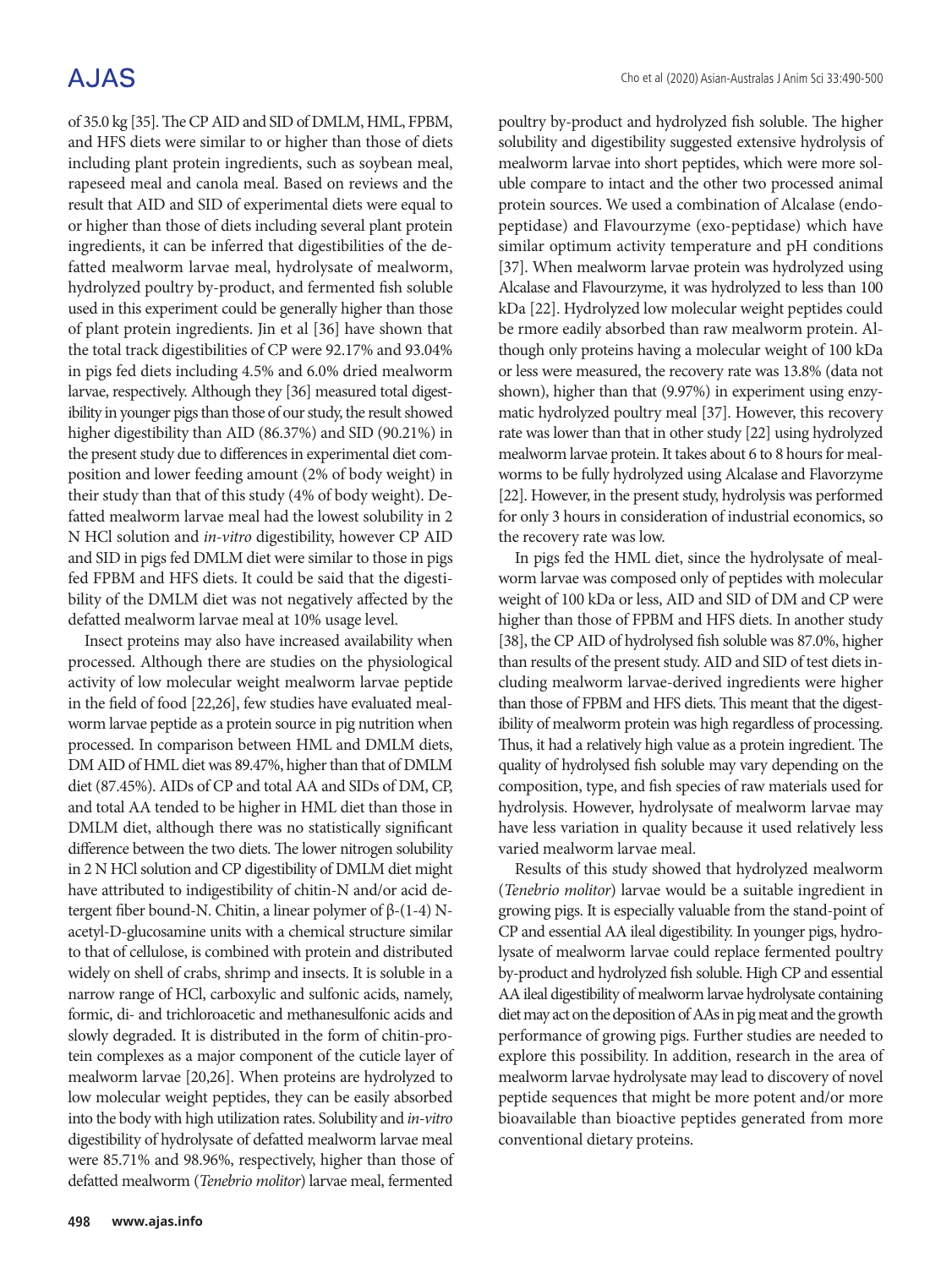# **AJAS**

of 35.0 kg [35]. The CP AID and SID of DMLM, HML, FPBM, and HFS diets were similar to or higher than those of diets including plant protein ingredients, such as soybean meal, rapeseed meal and canola meal. Based on reviews and the result that AID and SID of experimental diets were equal to or higher than those of diets including several plant protein ingredients, it can be inferred that digestibilities of the defatted mealworm larvae meal, hydrolysate of mealworm, hydrolyzed poultry by-product, and fermented fish soluble used in this experiment could be generally higher than those of plant protein ingredients. Jin et al [36] have shown that the total track digestibilities of CP were 92.17% and 93.04% in pigs fed diets including 4.5% and 6.0% dried mealworm larvae, respectively. Although they [36] measured total digestibility in younger pigs than those of our study, the result showed higher digestibility than AID (86.37%) and SID (90.21%) in the present study due to differences in experimental diet composition and lower feeding amount (2% of body weight) in their study than that of this study (4% of body weight). Defatted mealworm larvae meal had the lowest solubility in 2 N HCl solution and *in-vitro* digestibility, however CP AID and SID in pigs fed DMLM diet were similar to those in pigs fed FPBM and HFS diets. It could be said that the digestibility of the DMLM diet was not negatively affected by the defatted mealworm larvae meal at 10% usage level.

Insect proteins may also have increased availability when processed. Although there are studies on the physiological activity of low molecular weight mealworm larvae peptide in the field of food [22,26], few studies have evaluated mealworm larvae peptide as a protein source in pig nutrition when processed. In comparison between HML and DMLM diets, DM AID of HML diet was 89.47%, higher than that of DMLM diet (87.45%). AIDs of CP and total AA and SIDs of DM, CP, and total AA tended to be higher in HML diet than those in DMLM diet, although there was no statistically significant difference between the two diets. The lower nitrogen solubility in 2 N HCl solution and CP digestibility of DMLM diet might have attributed to indigestibility of chitin-N and/or acid detergent fiber bound-N. Chitin, a linear polymer of β-(1-4) Nacetyl-D-glucosamine units with a chemical structure similar to that of cellulose, is combined with protein and distributed widely on shell of crabs, shrimp and insects. It is soluble in a narrow range of HCl, carboxylic and sulfonic acids, namely, formic, di- and trichloroacetic and methanesulfonic acids and slowly degraded. It is distributed in the form of chitin-protein complexes as a major component of the cuticle layer of mealworm larvae [20,26]. When proteins are hydrolyzed to low molecular weight peptides, they can be easily absorbed into the body with high utilization rates. Solubility and *in-vitro* digestibility of hydrolysate of defatted mealworm larvae meal were 85.71% and 98.96%, respectively, higher than those of defatted mealworm (*Tenebrio molitor*) larvae meal, fermented

poultry by-product and hydrolyzed fish soluble. The higher solubility and digestibility suggested extensive hydrolysis of mealworm larvae into short peptides, which were more soluble compare to intact and the other two processed animal protein sources. We used a combination of Alcalase (endopeptidase) and Flavourzyme (exo-peptidase) which have similar optimum activity temperature and pH conditions [37]. When mealworm larvae protein was hydrolyzed using Alcalase and Flavourzyme, it was hydrolyzed to less than 100 kDa [22]. Hydrolyzed low molecular weight peptides could be rmore eadily absorbed than raw mealworm protein. Although only proteins having a molecular weight of 100 kDa or less were measured, the recovery rate was 13.8% (data not shown), higher than that (9.97%) in experiment using enzymatic hydrolyzed poultry meal [37]. However, this recovery rate was lower than that in other study [22] using hydrolyzed mealworm larvae protein. It takes about 6 to 8 hours for mealworms to be fully hydrolyzed using Alcalase and Flavorzyme [22]. However, in the present study, hydrolysis was performed for only 3 hours in consideration of industrial economics, so the recovery rate was low.

In pigs fed the HML diet, since the hydrolysate of mealworm larvae was composed only of peptides with molecular weight of 100 kDa or less, AID and SID of DM and CP were higher than those of FPBM and HFS diets. In another study [38], the CP AID of hydrolysed fish soluble was 87.0%, higher than results of the present study. AID and SID of test diets including mealworm larvae-derived ingredients were higher than those of FPBM and HFS diets. This meant that the digestibility of mealworm protein was high regardless of processing. Thus, it had a relatively high value as a protein ingredient. The quality of hydrolysed fish soluble may vary depending on the composition, type, and fish species of raw materials used for hydrolysis. However, hydrolysate of mealworm larvae may have less variation in quality because it used relatively less varied mealworm larvae meal.

Results of this study showed that hydrolyzed mealworm (*Tenebrio molitor*) larvae would be a suitable ingredient in growing pigs. It is especially valuable from the stand-point of CP and essential AA ileal digestibility. In younger pigs, hydrolysate of mealworm larvae could replace fermented poultry by-product and hydrolyzed fish soluble. High CP and essential AA ileal digestibility of mealworm larvae hydrolysate containing diet may act on the deposition of AAs in pig meat and the growth performance of growing pigs. Further studies are needed to explore this possibility. In addition, research in the area of mealworm larvae hydrolysate may lead to discovery of novel peptide sequences that might be more potent and/or more bioavailable than bioactive peptides generated from more conventional dietary proteins.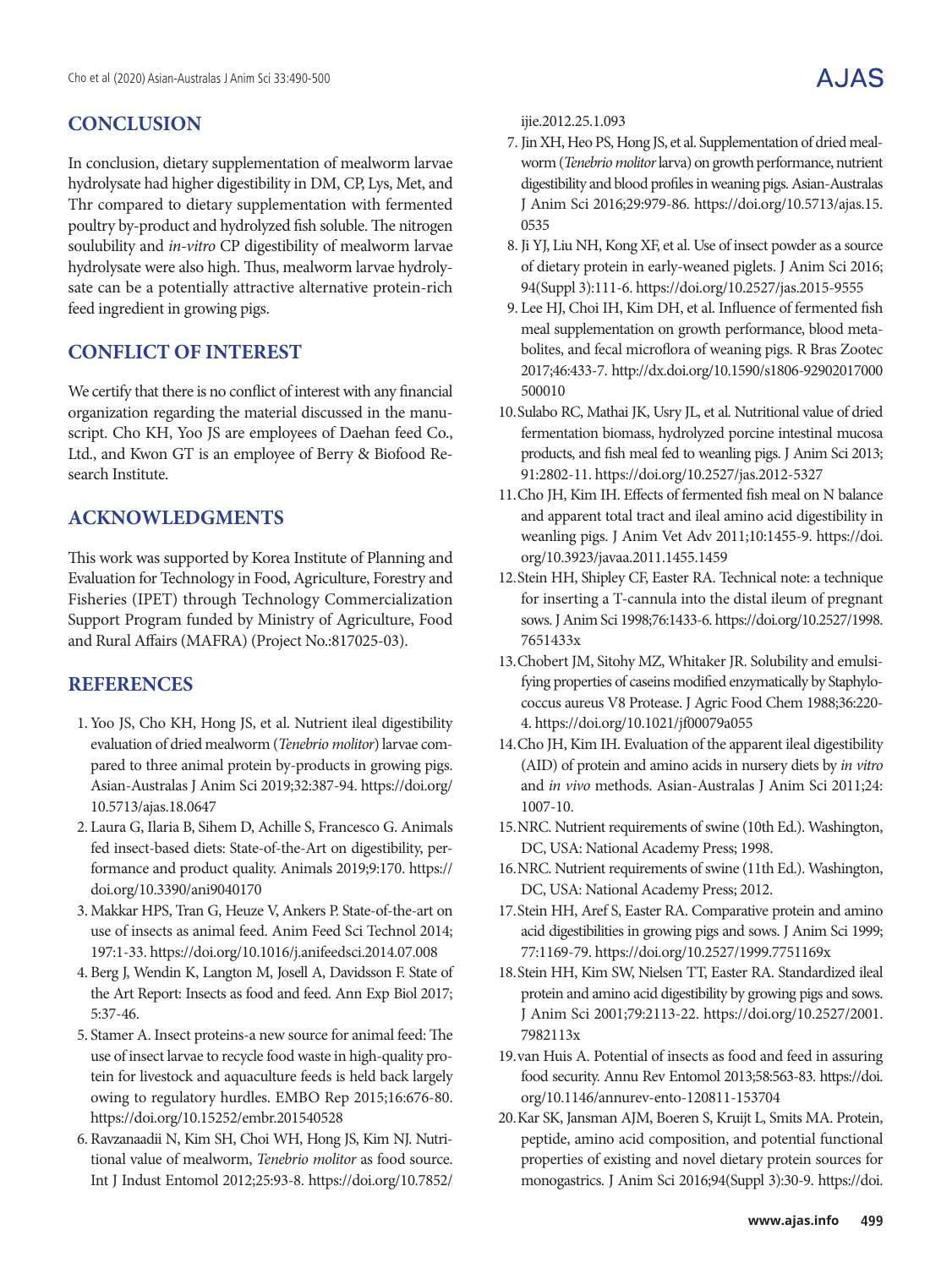# **CONCLUSION**

In conclusion, dietary supplementation of mealworm larvae hydrolysate had higher digestibility in DM, CP, Lys, Met, and Thr compared to dietary supplementation with fermented poultry by-product and hydrolyzed fish soluble. The nitrogen soulubility and *in-vitro* CP digestibility of mealworm larvae hydrolysate were also high. Thus, mealworm larvae hydrolysate can be a potentially attractive alternative protein-rich feed ingredient in growing pigs.

## **CONFLICT OF INTEREST**

We certify that there is no conflict of interest with any financial organization regarding the material discussed in the manuscript. Cho KH, Yoo JS are employees of Daehan feed Co., Ltd., and Kwon GT is an employee of Berry & Biofood Research Institute.

# **ACKNOWLEDGMENTS**

This work was supported by Korea Institute of Planning and Evaluation for Technology in Food, Agriculture, Forestry and Fisheries (IPET) through Technology Commercialization Support Program funded by Ministry of Agriculture, Food and Rural Affairs (MAFRA) (Project No.:817025-03).

## **REFERENCES**

- 1. Yoo JS, Cho KH, Hong JS, et al. Nutrient ileal digestibility evaluation of dried mealworm (*Tenebrio molitor*) larvae compared to three animal protein by-products in growing pigs. Asian-Australas J Anim Sci 2019;32:387-94. https://doi.org/ 10.5713/ajas.18.0647
- 2. Laura G, Ilaria B, Sihem D, Achille S, Francesco G. Animals fed insect-based diets: State-of-the-Art on digestibility, performance and product quality. Animals 2019;9:170. https:// doi.org/10.3390/ani9040170
- 3. Makkar HPS, Tran G, Heuze V, Ankers P. State-of-the-art on use of insects as animal feed. Anim Feed Sci Technol 2014; 197:1-33. https://doi.org/10.1016/j.anifeedsci.2014.07.008
- 4. Berg J, Wendin K, Langton M, Josell A, Davidsson F. State of the Art Report: Insects as food and feed. Ann Exp Biol 2017; 5:37-46.
- 5. Stamer A. Insect proteins-a new source for animal feed: The use of insect larvae to recycle food waste in high-quality protein for livestock and aquaculture feeds is held back largely owing to regulatory hurdles. EMBO Rep 2015;16:676-80. https://doi.org/10.15252/embr.201540528
- 6. Ravzanaadii N, Kim SH, Choi WH, Hong JS, Kim NJ. Nutritional value of mealworm, *Tenebrio molitor* as food source. Int J Indust Entomol 2012;25:93-8. https://doi.org/10.7852/

ijie.2012.25.1.093

- 7.Jin XH, Heo PS, Hong JS, et al. Supplementation of dried mealworm (*Tenebrio molitor* larva) on growth performance, nutrient digestibility and blood profiles in weaning pigs. Asian-Australas J Anim Sci 2016;29:979-86. https://doi.org/10.5713/ajas.15. 0535
- 8.Ji YJ, Liu NH, Kong XF, et al. Use of insect powder as a source of dietary protein in early-weaned piglets. J Anim Sci 2016; 94(Suppl 3):111-6. https://doi.org/10.2527/jas.2015-9555
- 9. Lee HJ, Choi IH, Kim DH, et al. Influence of fermented fish meal supplementation on growth performance, blood metabolites, and fecal microflora of weaning pigs. R Bras Zootec 2017;46:433-7. http://dx.doi.org/10.1590/s1806-92902017000 500010
- 10.Sulabo RC, Mathai JK, Usry JL, et al. Nutritional value of dried fermentation biomass, hydrolyzed porcine intestinal mucosa products, and fish meal fed to weanling pigs. J Anim Sci 2013; 91:2802-11. https://doi.org/10.2527/jas.2012-5327
- 11.Cho JH, Kim IH. Effects of fermented fish meal on N balance and apparent total tract and ileal amino acid digestibility in weanling pigs. J Anim Vet Adv 2011;10:1455-9. https://doi. org/10.3923/javaa.2011.1455.1459
- 12.Stein HH, Shipley CF, Easter RA. Technical note: a technique for inserting a T-cannula into the distal ileum of pregnant sows. J Anim Sci 1998;76:1433-6. https://doi.org/10.2527/1998. 7651433x
- 13.Chobert JM, Sitohy MZ, Whitaker JR. Solubility and emulsifying properties of caseins modified enzymatically by Staphylococcus aureus V8 Protease. J Agric Food Chem 1988;36:220- 4. https://doi.org/10.1021/jf00079a055
- 14.Cho JH, Kim IH. Evaluation of the apparent ileal digestibility (AID) of protein and amino acids in nursery diets by *in vitro* and *in vivo* methods. Asian-Australas J Anim Sci 2011;24: 1007-10.
- 15.NRC. Nutrient requirements of swine (10th Ed.). Washington, DC, USA: National Academy Press; 1998.
- 16.NRC. Nutrient requirements of swine (11th Ed.). Washington, DC, USA: National Academy Press; 2012.
- 17.Stein HH, Aref S, Easter RA. Comparative protein and amino acid digestibilities in growing pigs and sows. J Anim Sci 1999; 77:1169-79. https://doi.org/10.2527/1999.7751169x
- 18.Stein HH, Kim SW, Nielsen TT, Easter RA. Standardized ileal protein and amino acid digestibility by growing pigs and sows. J Anim Sci 2001;79:2113-22. https://doi.org/10.2527/2001. 7982113x
- 19.van Huis A. Potential of insects as food and feed in assuring food security. Annu Rev Entomol 2013;58:563-83. https://doi. org/10.1146/annurev-ento-120811-153704
- 20.Kar SK, Jansman AJM, Boeren S, Kruijt L, Smits MA. Protein, peptide, amino acid composition, and potential functional properties of existing and novel dietary protein sources for monogastrics. J Anim Sci 2016;94(Suppl 3):30-9. https://doi.